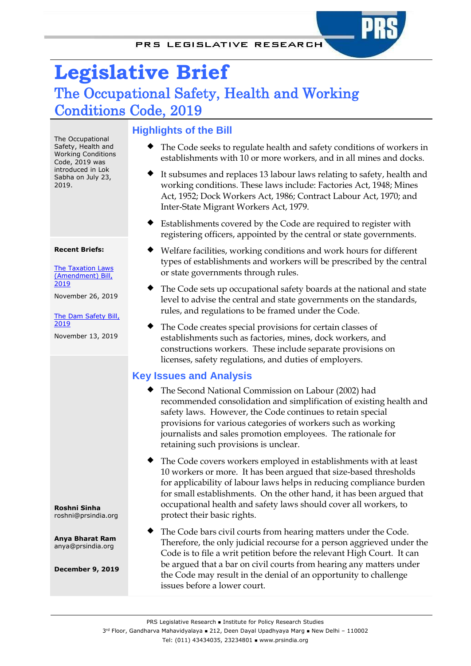# **Legislative Brief**  The Occupational Safety, Health and Working Conditions Code, 2019

The Occupational Safety, Health and Working Conditions Code, 2019 was introduced in Lok Sabha on July 23, 2019.

#### **Recent Briefs:**

**The Taxation Laws** [\(Amendment\) Bill,](https://prsindia.org/sites/default/files/bill_files/Legislative%20Brief%20-%20Taxation%20Laws%20%28Amendment%29%20Bill%2C%202019.pdf) [2019](https://prsindia.org/sites/default/files/bill_files/Legislative%20Brief%20-%20Taxation%20Laws%20%28Amendment%29%20Bill%2C%202019.pdf)

November 26, 2019

[The Dam Safety](https://prsindia.org/sites/default/files/bill_files/Legislative%20Brief%20-%20Dam%20Safety%20Bill%202019.pdf) Bill, [2019](https://prsindia.org/sites/default/files/bill_files/Legislative%20Brief%20-%20Dam%20Safety%20Bill%202019.pdf)

November 13, 2019

**Roshni Sinha** roshni@prsindia.org

**Anya Bharat Ram** anya@prsindia.org

**December 9, 2019**

## **Highlights of the Bill**

- The Code seeks to regulate health and safety conditions of workers in establishments with 10 or more workers, and in all mines and docks.
- It subsumes and replaces 13 labour laws relating to safety, health and working conditions. These laws include: Factories Act, 1948; Mines Act, 1952; Dock Workers Act, 1986; Contract Labour Act, 1970; and Inter-State Migrant Workers Act, 1979.
- Establishments covered by the Code are required to register with registering officers, appointed by the central or state governments.
- Welfare facilities, working conditions and work hours for different types of establishments and workers will be prescribed by the central or state governments through rules.
- The Code sets up occupational safety boards at the national and state level to advise the central and state governments on the standards, rules, and regulations to be framed under the Code.
- The Code creates special provisions for certain classes of establishments such as factories, mines, dock workers, and constructions workers. These include separate provisions on licenses, safety regulations, and duties of employers.

## **Key Issues and Analysis**

- The Second National Commission on Labour (2002) had recommended consolidation and simplification of existing health and safety laws. However, the Code continues to retain special provisions for various categories of workers such as working journalists and sales promotion employees. The rationale for retaining such provisions is unclear.
- The Code covers workers employed in establishments with at least 10 workers or more. It has been argued that size-based thresholds for applicability of labour laws helps in reducing compliance burden for small establishments. On the other hand, it has been argued that occupational health and safety laws should cover all workers, to protect their basic rights.
- The Code bars civil courts from hearing matters under the Code. Therefore, the only judicial recourse for a person aggrieved under the Code is to file a writ petition before the relevant High Court. It can be argued that a bar on civil courts from hearing any matters under the Code may result in the denial of an opportunity to challenge issues before a lower court.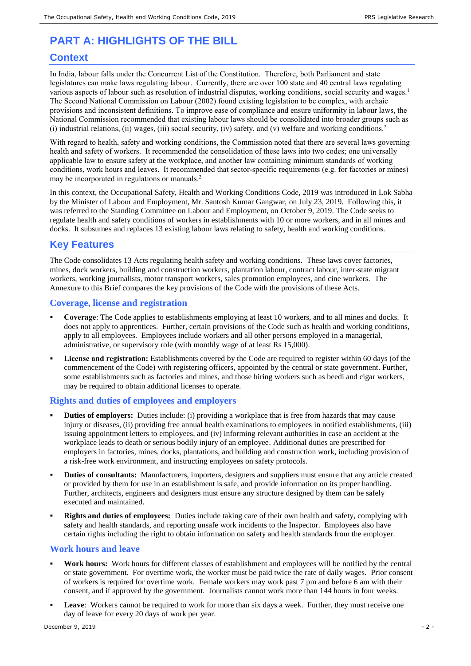## **PART A: HIGHLIGHTS OF THE BILL**

### **Context**

In India, labour falls under the Concurrent List of the Constitution. Therefore, both Parliament and state legislatures can make laws regulating labour. Currently, there are over 100 state and 40 central laws regulating various aspects of labour such as resolution of industrial disputes, working conditions, social security and wages.<sup>1</sup> The Second National Commission on Labour (2002) found existing legislation to be complex, with archaic provisions and inconsistent definitions. To improve ease of compliance and ensure uniformity in labour laws, the National Commission recommended that existing labour laws should be consolidated into broader groups such as (i) industrial relations, (ii) wages, (iii) social security, (iv) safety, and (v) welfare and working conditions. $2$ 

<span id="page-1-0"></span>With regard to health, safety and working conditions, the Commission noted that there are several laws governing health and safety of workers. It recommended the consolidation of these laws into two codes; one universally applicable law to ensure safety at the workplace, and another law containing minimum standards of working conditions, work hours and leaves. It recommended that sector-specific requirements (e.g. for factories or mines) may be incorporated in regulations or manual[s.](#page-1-0) 2

In this context, the Occupational Safety, Health and Working Conditions Code, 2019 was introduced in Lok Sabha by the Minister of Labour and Employment, Mr. Santosh Kumar Gangwar, on July 23, 2019. Following this, it was referred to the Standing Committee on Labour and Employment, on October 9, 2019. The Code seeks to regulate health and safety conditions of workers in establishments with 10 or more workers, and in all mines and docks. It subsumes and replaces 13 existing labour laws relating to safety, health and working conditions.

## **Key Features**

The Code consolidates 13 Acts regulating health safety and working conditions. These laws cover factories, mines, dock workers, building and construction workers, plantation labour, contract labour, inter-state migrant workers, working journalists, motor transport workers, sales promotion employees, and cine workers. The Annexure to this Brief compares the key provisions of the Code with the provisions of these Acts.

#### **Coverage, license and registration**

- **Coverage**: The Code applies to establishments employing at least 10 workers, and to all mines and docks. It does not apply to apprentices. Further, certain provisions of the Code such as health and working conditions, apply to all employees. Employees include workers and all other persons employed in a managerial, administrative, or supervisory role (with monthly wage of at least Rs 15,000).
- **License and registration:** Establishments covered by the Code are required to register within 60 days (of the commencement of the Code) with registering officers, appointed by the central or state government. Further, some establishments such as factories and mines, and those hiring workers such as beedi and cigar workers, may be required to obtain additional licenses to operate.

#### **Rights and duties of employees and employers**

- **Duties of employers:** Duties include: (i) providing a workplace that is free from hazards that may cause injury or diseases, (ii) providing free annual health examinations to employees in notified establishments, (iii) issuing appointment letters to employees, and (iv) informing relevant authorities in case an accident at the workplace leads to death or serious bodily injury of an employee. Additional duties are prescribed for employers in factories, mines, docks, plantations, and building and construction work, including provision of a risk-free work environment, and instructing employees on safety protocols.
- **Duties of consultants:** Manufacturers, importers, designers and suppliers must ensure that any article created or provided by them for use in an establishment is safe, and provide information on its proper handling. Further, architects, engineers and designers must ensure any structure designed by them can be safely executed and maintained.
- **Rights and duties of employees:** Duties include taking care of their own health and safety, complying with safety and health standards, and reporting unsafe work incidents to the Inspector. Employees also have certain rights including the right to obtain information on safety and health standards from the employer.

#### **Work hours and leave**

- **Work hours:** Work hours for different classes of establishment and employees will be notified by the central or state government. For overtime work, the worker must be paid twice the rate of daily wages. Prior consent of workers is required for overtime work. Female workers may work past 7 pm and before 6 am with their consent, and if approved by the government. Journalists cannot work more than 144 hours in four weeks.
- Leave: Workers cannot be required to work for more than six days a week. Further, they must receive one day of leave for every 20 days of work per year.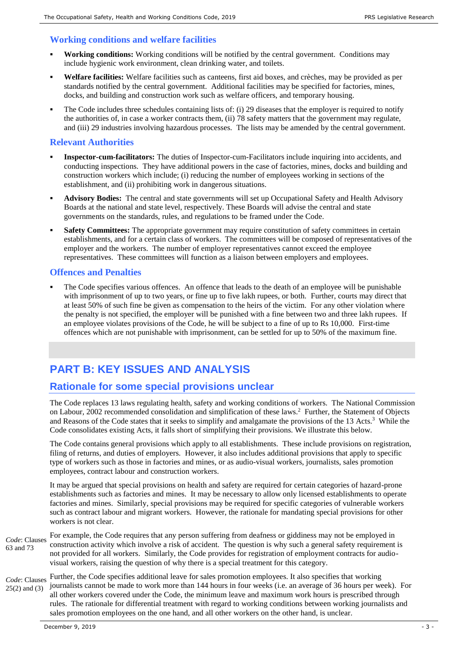#### **Working conditions and welfare facilities**

- **Working conditions:** Working conditions will be notified by the central government. Conditions may include hygienic work environment, clean drinking water, and toilets.
- **Welfare facilities:** Welfare facilities such as canteens, first aid boxes, and crèches, may be provided as per standards notified by the central government. Additional facilities may be specified for factories, mines, docks, and building and construction work such as welfare officers, and temporary housing.
- The Code includes three schedules containing lists of: (i) 29 diseases that the employer is required to notify the authorities of, in case a worker contracts them, (ii) 78 safety matters that the government may regulate, and (iii) 29 industries involving hazardous processes. The lists may be amended by the central government.

#### **Relevant Authorities**

- **Inspector-cum-facilitators:** The duties of Inspector-cum-Facilitators include inquiring into accidents, and conducting inspections. They have additional powers in the case of factories, mines, docks and building and construction workers which include; (i) reducing the number of employees working in sections of the establishment, and (ii) prohibiting work in dangerous situations.
- **Advisory Bodies:** The central and state governments will set up Occupational Safety and Health Advisory Boards at the national and state level, respectively. These Boards will advise the central and state governments on the standards, rules, and regulations to be framed under the Code.
- **Safety Committees:** The appropriate government may require constitution of safety committees in certain establishments, and for a certain class of workers. The committees will be composed of representatives of the employer and the workers. The number of employer representatives cannot exceed the employee representatives. These committees will function as a liaison between employers and employees.

#### **Offences and Penalties**

 The Code specifies various offences. An offence that leads to the death of an employee will be punishable with imprisonment of up to two years, or fine up to five lakh rupees, or both. Further, courts may direct that at least 50% of such fine be given as compensation to the heirs of the victim. For any other violation where the penalty is not specified, the employer will be punished with a fine between two and three lakh rupees. If an employee violates provisions of the Code, he will be subject to a fine of up to Rs 10,000. First-time offences which are not punishable with imprisonment, can be settled for up to 50% of the maximum fine.

## **PART B: KEY ISSUES AND ANALYSIS**

## **Rationale for some special provisions unclear**

The Code replaces 13 laws regulating health, safety and working conditions of workers. The National Commission onLabour, 2002 recommended consolidation and simplification of these laws.<sup>2</sup> Further, the Statement of Objects and Reasons of the Code states that it seeks to simplify and amalgamate the provisions of the 13 Acts.<sup>3</sup> While the Code consolidates existing Acts, it falls short of simplifying their provisions. We illustrate this below.

The Code contains general provisions which apply to all establishments. These include provisions on registration, filing of returns, and duties of employers. However, it also includes additional provisions that apply to specific type of workers such as those in factories and mines, or as audio-visual workers, journalists, sales promotion employees, contract labour and construction workers.

It may be argued that special provisions on health and safety are required for certain categories of hazard-prone establishments such as factories and mines. It may be necessary to allow only licensed establishments to operate factories and mines. Similarly, special provisions may be required for specific categories of vulnerable workers such as contract labour and migrant workers. However, the rationale for mandating special provisions for other workers is not clear.

For example, the Code requires that any person suffering from deafness or giddiness may not be employed in construction activity which involve a risk of accident. The question is why such a general safety requirement is not provided for all workers. Similarly, the Code provides for registration of employment contracts for audiovisual workers, raising the question of why there is a special treatment for this category. *Code*: Clauses 63 and 73

Further, the Code specifies additional leave for sales promotion employees. It also specifies that working journalists cannot be made to work more than 144 hours in four weeks (i.e. an average of 36 hours per week). For all other workers covered under the Code, the minimum leave and maximum work hours is prescribed through rules. The rationale for differential treatment with regard to working conditions between working journalists and sales promotion employees on the one hand, and all other workers on the other hand, is unclear. *Code*: Clauses 25(2) and (3)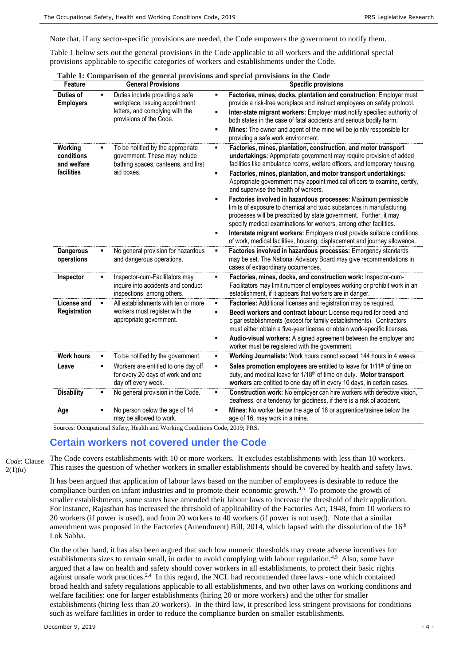Note that, if any sector-specific provisions are needed, the Code empowers the government to notify them.

Table 1 below sets out the general provisions in the Code applicable to all workers and the additional special provisions applicable to specific categories of workers and establishments under the Code.

| Feature                                            |   | <b>General Provisions</b>                                                                                                       | <b>Specific provisions</b>                                                                                                                                                                                                                                                                                                                                                                                                                                                                                                                                                                                                                                                                                                                                               |
|----------------------------------------------------|---|---------------------------------------------------------------------------------------------------------------------------------|--------------------------------------------------------------------------------------------------------------------------------------------------------------------------------------------------------------------------------------------------------------------------------------------------------------------------------------------------------------------------------------------------------------------------------------------------------------------------------------------------------------------------------------------------------------------------------------------------------------------------------------------------------------------------------------------------------------------------------------------------------------------------|
| Duties of<br><b>Employers</b>                      | п | Duties include providing a safe<br>workplace, issuing appointment<br>letters, and complying with the<br>provisions of the Code. | Factories, mines, docks, plantation and construction: Employer must<br>provide a risk-free workplace and instruct employees on safety protocol.<br>Inter-state migrant workers: Employer must notify specified authority of<br>both states in the case of fatal accidents and serious bodily harm.<br>Mines: The owner and agent of the mine will be jointly responsible for<br>providing a safe work environment.                                                                                                                                                                                                                                                                                                                                                       |
| Working<br>conditions<br>and welfare<br>facilities |   | To be notified by the appropriate<br>government. These may include<br>bathing spaces, canteens, and first<br>aid boxes.         | Factories, mines, plantation, construction, and motor transport<br>undertakings: Appropriate government may require provision of added<br>facilities like ambulance rooms, welfare officers, and temporary housing.<br>Factories, mines, plantation, and motor transport undertakings:<br>Appropriate government may appoint medical officers to examine, certify,<br>and supervise the health of workers.<br>Factories involved in hazardous processes: Maximum permissible<br>limits of exposure to chemical and toxic substances in manufacturing<br>processes will be prescribed by state government. Further, it may<br>specify medical examinations for workers, among other facilities.<br>Interstate migrant workers: Employers must provide suitable conditions |
| <b>Dangerous</b><br>operations                     | ٠ | No general provision for hazardous<br>and dangerous operations.                                                                 | of work, medical facilities, housing, displacement and journey allowance.<br>Factories involved in hazardous processes: Emergency standards<br>may be set. The National Advisory Board may give recommendations in<br>cases of extraordinary occurrences.                                                                                                                                                                                                                                                                                                                                                                                                                                                                                                                |
| Inspector                                          | ■ | Inspector-cum-Facilitators may<br>inquire into accidents and conduct<br>inspections, among others.                              | Factories, mines, docks, and construction work: Inspector-cum-<br>Facilitators may limit number of employees working or prohibit work in an<br>establishment, if it appears that workers are in danger.                                                                                                                                                                                                                                                                                                                                                                                                                                                                                                                                                                  |
| License and<br><b>Registration</b>                 |   | All establishments with ten or more<br>workers must register with the<br>appropriate government.                                | Factories: Additional licenses and registration may be required.<br>Beedi workers and contract labour: License required for beedi and<br>cigar establishments (except for family establishments). Contractors<br>must either obtain a five-year license or obtain work-specific licenses.<br>Audio-visual workers: A signed agreement between the employer and<br>worker must be registered with the government.                                                                                                                                                                                                                                                                                                                                                         |
| <b>Work hours</b>                                  | ٠ | To be notified by the government.                                                                                               | Working Journalists: Work hours cannot exceed 144 hours in 4 weeks.                                                                                                                                                                                                                                                                                                                                                                                                                                                                                                                                                                                                                                                                                                      |
| Leave                                              | ٠ | Workers are entitled to one day off<br>for every 20 days of work and one<br>day off every week.                                 | Sales promotion employees are entitled to leave for 1/11 <sup>th</sup> of time on<br>duty, and medical leave for 1/18 <sup>th</sup> of time on duty. Motor transport<br>workers are entitled to one day off in every 10 days, in certain cases.                                                                                                                                                                                                                                                                                                                                                                                                                                                                                                                          |
| <b>Disability</b>                                  | ٠ | No general provision in the Code.                                                                                               | Construction work: No employer can hire workers with defective vision,<br>deafness, or a tendency for giddiness, if there is a risk of accident.                                                                                                                                                                                                                                                                                                                                                                                                                                                                                                                                                                                                                         |
| Age                                                | ٠ | No person below the age of 14<br>may be allowed to work.                                                                        | Mines: No worker below the age of 18 or apprentice/trainee below the<br>age of 16, may work in a mine.                                                                                                                                                                                                                                                                                                                                                                                                                                                                                                                                                                                                                                                                   |

|  |  | Table 1: Comparison of the general provisions and special provisions in the Code |
|--|--|----------------------------------------------------------------------------------|
|  |  |                                                                                  |

Sources: Occupational Safety, Health and Working Conditions Code, 2019; PRS.

#### **Certain workers not covered under the Code**

*Code*: Clause

The Code covers establishments with 10 or more workers. It excludes establishments with less than 10 workers. This raises the question of whether workers in smaller establishments should be covered by health and safety laws.

 $2(1)(u)$ 

<span id="page-3-1"></span><span id="page-3-0"></span>It has been argued that application of labour laws based on the number of employees is desirable to reduce the compliance burden on infant industries and to promote their economic growth. $4.5$  To promote the growth of smaller establishments, some states have amended their labour laws to increase the threshold of their application. For instance, Rajasthan has increased the threshold of applicability of the Factories Act, 1948, from 10 workers to 20 workers (if power is used), and from 20 workers to 40 workers (if power is not used). Note that a similar amendment was proposed in the Factories (Amendment) Bill, 2014, which lapsed with the dissolution of the 16<sup>th</sup> Lok Sabha.

On the other hand, it has also been argued that such low numeric thresholds may create adverse incentives for establishments sizes to remain small, in order to avoid complying with labour regulation.<sup>[4,](#page-3-0)[5](#page-3-1)</sup> Also, some have argued that a law on health and safety should cover workers in all establishments, to protect their basic rights against unsafe work practices.<sup>[2,](#page-1-0)[4](#page-3-0)</sup> In this regard, the NCL had recommended three laws - one which contained broad health and safety regulations applicable to all establishments, and two other laws on working conditions and welfare facilities: one for larger establishments (hiring 20 or more workers) and the other for smaller establishments (hiring less than 20 workers). In the third law, it prescribed less stringent provisions for conditions such as welfare facilities in order to reduce the compliance burden on smaller establishments.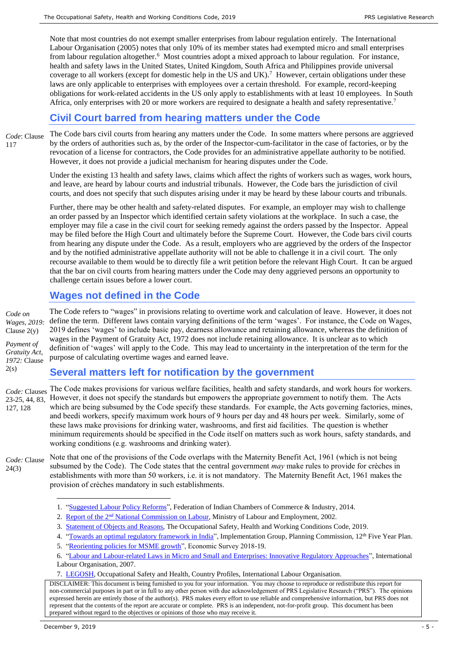Note that most countries do not exempt smaller enterprises from labour regulation entirely. The International Labour Organisation (2005) notes that only 10% of its member states had exempted micro and small enterprises from labour regulation altogether.<sup>6</sup> Most countries adopt a mixed approach to labour regulation. For instance, health and safety laws in the United States, United Kingdom, South Africa and Philippines provide universal coverage to all workers (except for domestic help in the US and UK).<sup>[7](#page-4-0)</sup> However, certain obligations under these laws are only applicable to enterprises with employees over a certain threshold. For example, record-keeping obligations for work-related accidents in the US only apply to establishments with at least 10 employees. In South Africa, only enterprises with 20 or more workers are required to designate a health and safety representative.<sup>7</sup>

## <span id="page-4-0"></span>**Civil Court barred from hearing matters under the Code**

The Code bars civil courts from hearing any matters under the Code. In some matters where persons are aggrieved by the orders of authorities such as, by the order of the Inspector-cum-facilitator in the case of factories, or by the revocation of a license for contractors, the Code provides for an administrative appellate authority to be notified. However, it does not provide a judicial mechanism for hearing disputes under the Code. *Code*: Clause 117

> Under the existing 13 health and safety laws, claims which affect the rights of workers such as wages, work hours, and leave, are heard by labour courts and industrial tribunals. However, the Code bars the jurisdiction of civil courts, and does not specify that such disputes arising under it may be heard by these labour courts and tribunals.

> Further, there may be other health and safety-related disputes. For example, an employer may wish to challenge an order passed by an Inspector which identified certain safety violations at the workplace. In such a case, the employer may file a case in the civil court for seeking remedy against the orders passed by the Inspector. Appeal may be filed before the High Court and ultimately before the Supreme Court. However, the Code bars civil courts from hearing any dispute under the Code. As a result, employers who are aggrieved by the orders of the Inspector and by the notified administrative appellate authority will not be able to challenge it in a civil court. The only recourse available to them would be to directly file a writ petition before the relevant High Court. It can be argued that the bar on civil courts from hearing matters under the Code may deny aggrieved persons an opportunity to challenge certain issues before a lower court.

## **Wages not defined in the Code**

The Code refers to "wages" in provisions relating to overtime work and calculation of leave. However, it does not define the term. Different laws contain varying definitions of the term 'wages'. For instance, the Code on Wages, 2019 defines 'wages' to include basic pay, dearness allowance and retaining allowance, whereas the definition of wages in the Payment of Gratuity Act, 1972 does not include retaining allowance. It is unclear as to which definition of 'wages' will apply to the Code. This may lead to uncertainty in the interpretation of the term for the purpose of calculating overtime wages and earned leave. *Code on Wages, 2019:*  Clause 2(y) *Payment of Gratuity Act, 1972:* Clause

#### **Several matters left for notification by the government**

The Code makes provisions for various welfare facilities, health and safety standards, and work hours for workers. *Code:* Clauses However, it does not specify the standards but empowers the appropriate government to notify them. The Acts which are being subsumed by the Code specify these standards. For example, the Acts governing factories, mines, and beedi workers, specify maximum work hours of 9 hours per day and 48 hours per week. Similarly, some of these laws make provisions for drinking water, washrooms, and first aid facilities. The question is whether minimum requirements should be specified in the Code itself on matters such as work hours, safety standards, and working conditions (e.g. washrooms and drinking water). 23-25, 44, 83, 127, 128

Note that one of the provisions of the Code overlaps with the Maternity Benefit Act, 1961 (which is not being subsumed by the Code). The Code states that the central government *may* make rules to provide for crèches in establishments with more than 50 workers, i.e. it is not mandatory. The Maternity Benefit Act, 1961 makes the provision of crèches mandatory in such establishments. *Code:* Clause 24(3)

DISCLAIMER: This document is being furnished to you for your information. You may choose to reproduce or redistribute this report for non-commercial purposes in part or in full to any other person with due acknowledgement of PRS Legislative Research ("PRS"). The opinions expressed herein are entirely those of the author(s). PRS makes every effort to use reliable and comprehensive information, but PRS does not represent that the contents of the report are accurate or complete. PRS is an independent, not-for-profit group. This document has been prepared without regard to the objectives or opinions of those who may receive it.

<u>.</u>

 $2(s)$ 

<sup>1.</sup> ["Suggested Labour Policy Reforms"](http://ficci.in/SEDocument/20301/FICCI-NOTE-ON-LABOUR-POLICY-REFORMS.pdf), Federation of Indian Chambers of Commerce & Industry, 2014.

<sup>2.</sup> Report of the 2<sup>nd</sup> [National Commission on Labour,](http://www.prsindia.org/uploads/media/1237548159/NLCII-report.pdf) Ministry of Labour and Employment, 2002.

<sup>3.</sup> [Statement of Objects and Reasons,](https://www.prsindia.org/sites/default/files/bill_files/Occupational%20Safety%2C%20Health%20and%20Working%20Conditions%20Code%2C%202019.pdf) The Occupational Safety, Health and Working Conditions Code, 2019.

<sup>4.</sup> ["Towards an optimal regulatory framework in India"](http://planningcommission.gov.in/reports/genrep/rep_human2509.pdf), Implementation Group, Planning Commission, 12<sup>th</sup> Five Year Plan.

<sup>5.</sup> ["Reorienting policies for MSME growth"](https://www.indiabudget.gov.in/economicsurvey/doc/vol1chapter/echap03_vol1.pdf), Economic Survey 2018-19.

<sup>6.</sup> ["Labour and Labour-related Laws in Micro and Small and Enterprises: Innovative Regulatory Approaches"](https://www.ilo.org/wcmsp5/groups/public/---ed_emp/---emp_ent/documents/publication/wcms_093618.pdf), International Labour Organisation, 2007.

<sup>7.</sup> [LEGOSH,](https://www.ilo.org/dyn/legosh/en/f?p=14100:1000:0::NO:::) Occupational Safety and Health, Country Profiles, International Labour Organisation.